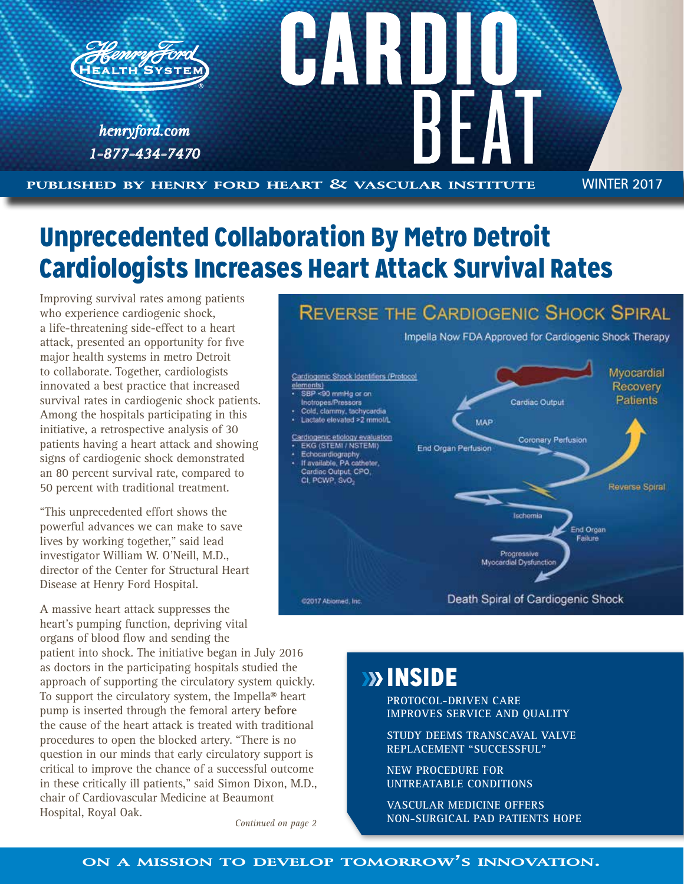

# Unprecedented Collaboration By Metro Detroit Cardiologists Increases Heart Attack Survival Rates

Improving survival rates among patients who experience cardiogenic shock, a life-threatening side-effect to a heart attack, presented an opportunity for five major health systems in metro Detroit to collaborate. Together, cardiologists innovated a best practice that increased survival rates in cardiogenic shock patients. Among the hospitals participating in this initiative, a retrospective analysis of 30 patients having a heart attack and showing signs of cardiogenic shock demonstrated an 80 percent survival rate, compared to 50 percent with traditional treatment.

"This unprecedented effort shows the powerful advances we can make to save lives by working together," said lead investigator William W. O'Neill, M.D., director of the Center for Structural Heart Disease at Henry Ford Hospital.

A massive heart attack suppresses the heart's pumping function, depriving vital organs of blood flow and sending the

patient into shock. The initiative began in July 2016 as doctors in the participating hospitals studied the approach of supporting the circulatory system quickly. To support the circulatory system, the Impella® heart pump is inserted through the femoral artery **before** the cause of the heart attack is treated with traditional procedures to open the blocked artery. "There is no question in our minds that early circulatory support is critical to improve the chance of a successful outcome in these critically ill patients," said Simon Dixon, M.D., chair of Cardiovascular Medicine at Beaumont Hospital, Royal Oak.

*Continued on page 2*

## **REVERSE THE CARDIOGENIC SHOCK SPIRAL**

Impella Now FDA Approved for Cardiogenic Shock Therapy



# **BOOK** INSIDE

**PROTOCOL-DRIVEN CARE IMPROVES SERVICE AND QUALITY**

**STUDY DEEMS TRANSCAVAL VALVE REPLACEMENT "SUCCESSFUL"**

**NEW PROCEDURE FOR UNTREATABLE CONDITIONS**

**VASCULAR MEDICINE OFFERS NON-SURGICAL PAD PATIENTS HOPE** 

### **on <sup>a</sup> mission to develop tomorrow's innovation.**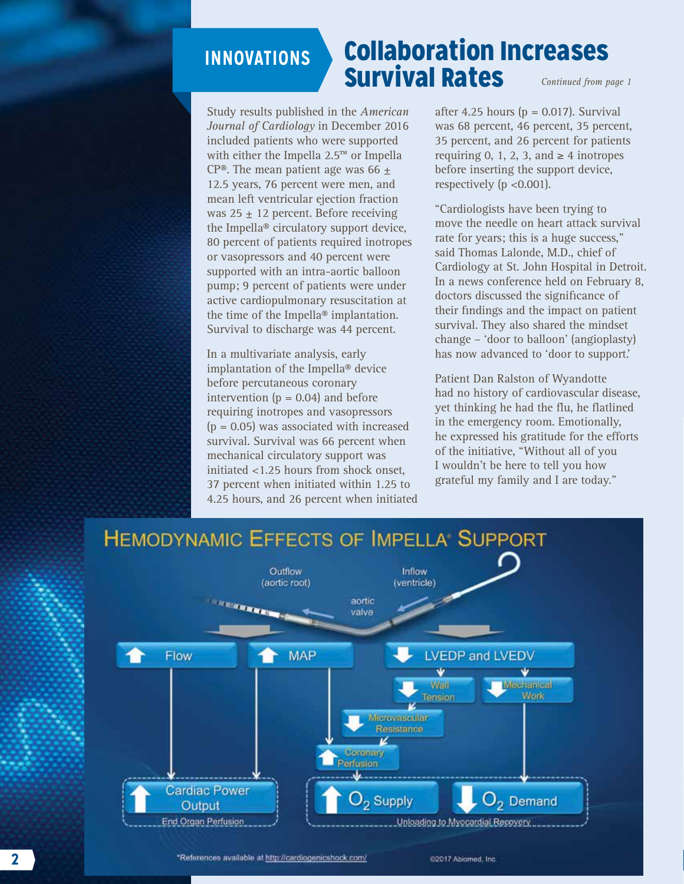# **INNOVATIONS**

## Collaboration Increases Survival Rates *Continued from page 1*

Study results published in the *American Journal of Cardiology* in December 2016 included patients who were supported with either the Impella 2.5™ or Impella CP®. The mean patient age was 66  $\pm$ 12.5 years, 76 percent were men, and mean left ventricular ejection fraction was  $25 \pm 12$  percent. Before receiving the Impella® circulatory support device, 80 percent of patients required inotropes or vasopressors and 40 percent were supported with an intra-aortic balloon pump; 9 percent of patients were under active cardiopulmonary resuscitation at the time of the Impella® implantation. Survival to discharge was 44 percent.

In a multivariate analysis, early implantation of the Impella® device before percutaneous coronary intervention  $(p = 0.04)$  and before requiring inotropes and vasopressors  $(p = 0.05)$  was associated with increased survival. Survival was 66 percent when mechanical circulatory support was initiated <1.25 hours from shock onset, 37 percent when initiated within 1.25 to 4.25 hours, and 26 percent when initiated after 4.25 hours ( $p = 0.017$ ). Survival was 68 percent, 46 percent, 35 percent, 35 percent, and 26 percent for patients requiring 0, 1, 2, 3, and  $\geq 4$  inotropes before inserting the support device, respectively (p <0.001).

"Cardiologists have been trying to move the needle on heart attack survival rate for years; this is a huge success," said Thomas Lalonde, M.D., chief of Cardiology at St. John Hospital in Detroit. In a news conference held on February 8, doctors discussed the significance of their findings and the impact on patient survival. They also shared the mindset change – 'door to balloon' (angioplasty) has now advanced to 'door to support.'

Patient Dan Ralston of Wyandotte had no history of cardiovascular disease, yet thinking he had the flu, he flatlined in the emergency room. Emotionally, he expressed his gratitude for the efforts of the initiative, "Without all of you I wouldn't be here to tell you how grateful my family and I are today."



'References available at http://cardiogenicshock.com/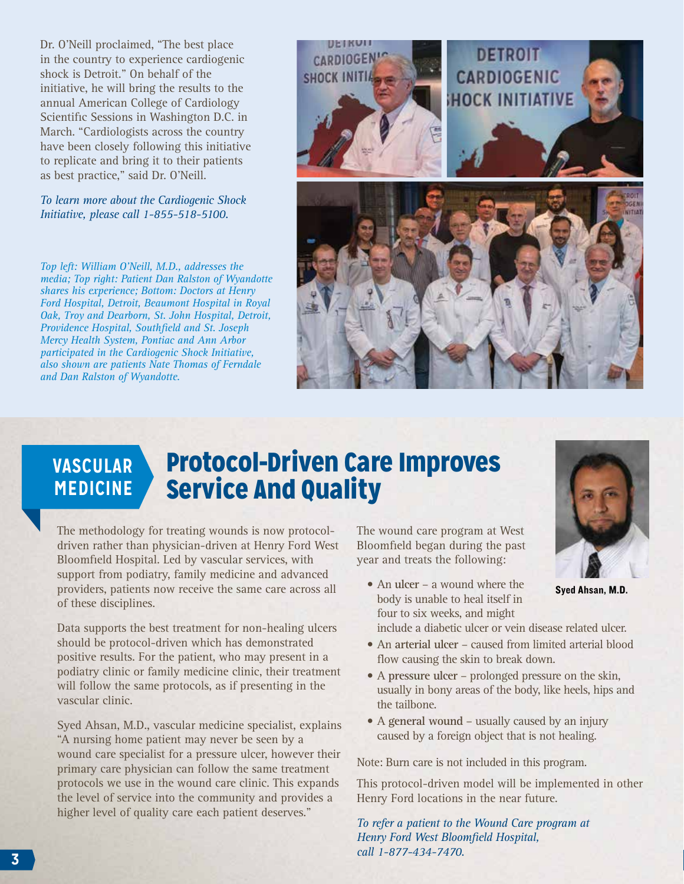Dr. O'Neill proclaimed, "The best place in the country to experience cardiogenic shock is Detroit." On behalf of the initiative, he will bring the results to the annual American College of Cardiology Scientific Sessions in Washington D.C. in March. "Cardiologists across the country have been closely following this initiative to replicate and bring it to their patients as best practice," said Dr. O'Neill.

#### *To learn more about the Cardiogenic Shock Initiative, please call 1-855-518-5100.*

*Top left: William O'Neill, M.D., addresses the media; Top right: Patient Dan Ralston of Wyandotte shares his experience; Bottom: Doctors at Henry Ford Hospital, Detroit, Beaumont Hospital in Royal Oak, Troy and Dearborn, St. John Hospital, Detroit, Providence Hospital, Southfield and St. Joseph Mercy Health System, Pontiac and Ann Arbor participated in the Cardiogenic Shock Initiative, also shown are patients Nate Thomas of Ferndale and Dan Ralston of Wyandotte.* 



#### Protocol-Driven Care Improves Service And Quality **VASCULAR MEDICINE**

The methodology for treating wounds is now protocoldriven rather than physician-driven at Henry Ford West Bloomfield Hospital. Led by vascular services, with support from podiatry, family medicine and advanced providers, patients now receive the same care across all of these disciplines.

Data supports the best treatment for non-healing ulcers should be protocol-driven which has demonstrated positive results. For the patient, who may present in a podiatry clinic or family medicine clinic, their treatment will follow the same protocols, as if presenting in the vascular clinic.

Syed Ahsan, M.D., vascular medicine specialist, explains "A nursing home patient may never be seen by a wound care specialist for a pressure ulcer, however their primary care physician can follow the same treatment protocols we use in the wound care clinic. This expands the level of service into the community and provides a higher level of quality care each patient deserves."

The wound care program at West Bloomfield began during the past year and treats the following:

• An **ulcer** – a wound where the body is unable to heal itself in four to six weeks, and might



Syed Ahsan, M.D.

include a diabetic ulcer or vein disease related ulcer.

- An arterial ulcer caused from limited arterial blood flow causing the skin to break down.
- • A **pressure ulcer** prolonged pressure on the skin, usually in bony areas of the body, like heels, hips and the tailbone.
- A general wound usually caused by an injury caused by a foreign object that is not healing.

Note: Burn care is not included in this program.

This protocol-driven model will be implemented in other Henry Ford locations in the near future.

*To refer a patient to the Wound Care program at Henry Ford West Bloomfield Hospital, call 1-877-434-7470.*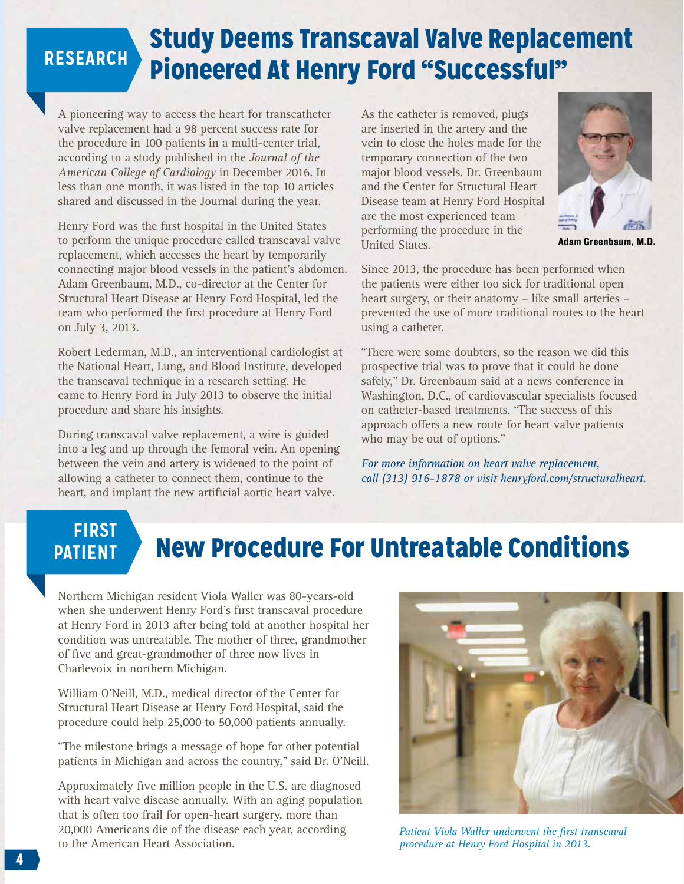## Study Deems Transcaval Valve Replacement Pioneered At Henry Ford "Successful" **RESEARCH**

A pioneering way to access the heart for transcatheter valve replacement had a 98 percent success rate for the procedure in 100 patients in a multi-center trial, according to a study published in the *Journal of the American College of Cardiology* in December 2016. In less than one month, it was listed in the top 10 articles shared and discussed in the Journal during the year.

Henry Ford was the first hospital in the United States to perform the unique procedure called transcaval valve replacement, which accesses the heart by temporarily connecting major blood vessels in the patient's abdomen. Adam Greenbaum, M.D., co-director at the Center for Structural Heart Disease at Henry Ford Hospital, led the team who performed the first procedure at Henry Ford on July 3, 2013.

Robert Lederman, M.D., an interventional cardiologist at the National Heart, Lung, and Blood Institute, developed the transcaval technique in a research setting. He came to Henry Ford in July 2013 to observe the initial procedure and share his insights.

During transcaval valve replacement, a wire is guided into a leg and up through the femoral vein. An opening between the vein and artery is widened to the point of allowing a catheter to connect them, continue to the heart, and implant the new artificial aortic heart valve.

As the catheter is removed, plugs are inserted in the artery and the vein to close the holes made for the temporary connection of the two major blood vessels. Dr. Greenbaum and the Center for Structural Heart Disease team at Henry Ford Hospital are the most experienced team performing the procedure in the United States.



Adam Greenbaum, M.D.

Since 2013, the procedure has been performed when the patients were either too sick for traditional open heart surgery, or their anatomy – like small arteries – prevented the use of more traditional routes to the heart using a catheter.

"There were some doubters, so the reason we did this prospective trial was to prove that it could be done safely," Dr. Greenbaum said at a news conference in Washington, D.C., of cardiovascular specialists focused on catheter-based treatments. "The success of this approach offers a new route for heart valve patients who may be out of options."

*For more information on heart valve replacement, call (313) 916-1878 or visit henryford.com/structuralheart.*

# **FIRST PATIENT**

# New Procedure For Untreatable Conditions

Northern Michigan resident Viola Waller was 80-years-old when she underwent Henry Ford's first transcaval procedure at Henry Ford in 2013 after being told at another hospital her condition was untreatable. The mother of three, grandmother of five and great-grandmother of three now lives in Charlevoix in northern Michigan.

William O'Neill, M.D., medical director of the Center for Structural Heart Disease at Henry Ford Hospital, said the procedure could help 25,000 to 50,000 patients annually.

"The milestone brings a message of hope for other potential patients in Michigan and across the country," said Dr. O'Neill.

Approximately five million people in the U.S. are diagnosed with heart valve disease annually. With an aging population that is often too frail for open-heart surgery, more than 20,000 Americans die of the disease each year, according to the American Heart Association.



*Patient Viola Waller underwent the first transcaval procedure at Henry Ford Hospital in 2013.*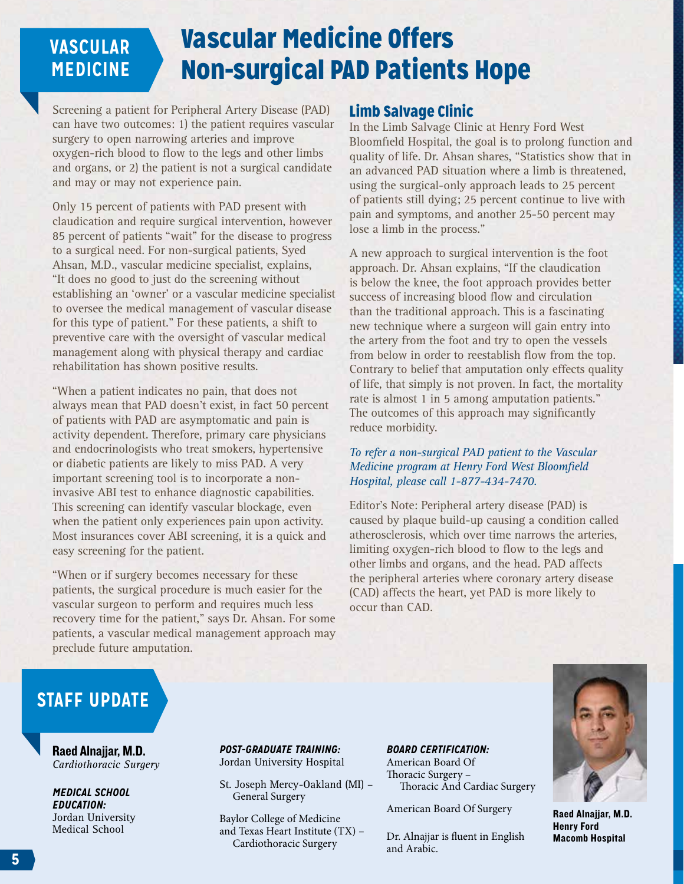### Vascular Medicine Offers Non-surgical PAD Patients Hope **VASCULAR MEDICINE**

Screening a patient for Peripheral Artery Disease (PAD) can have two outcomes: 1) the patient requires vascular surgery to open narrowing arteries and improve oxygen-rich blood to flow to the legs and other limbs and organs, or 2) the patient is not a surgical candidate and may or may not experience pain.

Only 15 percent of patients with PAD present with claudication and require surgical intervention, however 85 percent of patients "wait" for the disease to progress to a surgical need. For non-surgical patients, Syed Ahsan, M.D., vascular medicine specialist, explains, "It does no good to just do the screening without establishing an 'owner' or a vascular medicine specialist to oversee the medical management of vascular disease for this type of patient." For these patients, a shift to preventive care with the oversight of vascular medical management along with physical therapy and cardiac rehabilitation has shown positive results.

"When a patient indicates no pain, that does not always mean that PAD doesn't exist, in fact 50 percent of patients with PAD are asymptomatic and pain is activity dependent. Therefore, primary care physicians and endocrinologists who treat smokers, hypertensive or diabetic patients are likely to miss PAD. A very important screening tool is to incorporate a noninvasive ABI test to enhance diagnostic capabilities. This screening can identify vascular blockage, even when the patient only experiences pain upon activity. Most insurances cover ABI screening, it is a quick and easy screening for the patient.

"When or if surgery becomes necessary for these patients, the surgical procedure is much easier for the vascular surgeon to perform and requires much less recovery time for the patient," says Dr. Ahsan. For some patients, a vascular medical management approach may preclude future amputation.

### Limb Salvage Clinic

In the Limb Salvage Clinic at Henry Ford West Bloomfield Hospital, the goal is to prolong function and quality of life. Dr. Ahsan shares, "Statistics show that in an advanced PAD situation where a limb is threatened, using the surgical-only approach leads to 25 percent of patients still dying; 25 percent continue to live with pain and symptoms, and another 25-50 percent may lose a limb in the process."

A new approach to surgical intervention is the foot approach. Dr. Ahsan explains, "If the claudication is below the knee, the foot approach provides better success of increasing blood flow and circulation than the traditional approach. This is a fascinating new technique where a surgeon will gain entry into the artery from the foot and try to open the vessels from below in order to reestablish flow from the top. Contrary to belief that amputation only effects quality of life, that simply is not proven. In fact, the mortality rate is almost 1 in 5 among amputation patients." The outcomes of this approach may significantly reduce morbidity.

#### *To refer a non-surgical PAD patient to the Vascular Medicine program at Henry Ford West Bloomfield Hospital, please call 1-877-434-7470.*

Editor's Note: Peripheral artery disease (PAD) is caused by plaque build-up causing a condition called atherosclerosis, which over time narrows the arteries, limiting oxygen-rich blood to flow to the legs and other limbs and organs, and the head. PAD affects the peripheral arteries where coronary artery disease (CAD) affects the heart, yet PAD is more likely to occur than CAD.

## **STAFF UPDATE**

Raed Alnajjar, M.D. *Cardiothoracic Surgery*

*MEDICAL SCHOOL EDUCATION:* Jordan University Medical School

*POST-GRADUATE TRAINING:* Jordan University Hospital

St. Joseph Mercy-Oakland (MI) – General Surgery

Baylor College of Medicine and Texas Heart Institute (TX) – Cardiothoracic Surgery

*BOARD CERTIFICATION:* American Board Of

Thoracic Surgery – Thoracic And Cardiac Surgery

American Board Of Surgery

Dr. Alnajjar is fluent in English and Arabic.



Raed Alnajjar, M.D. Henry Ford Macomb Hospital